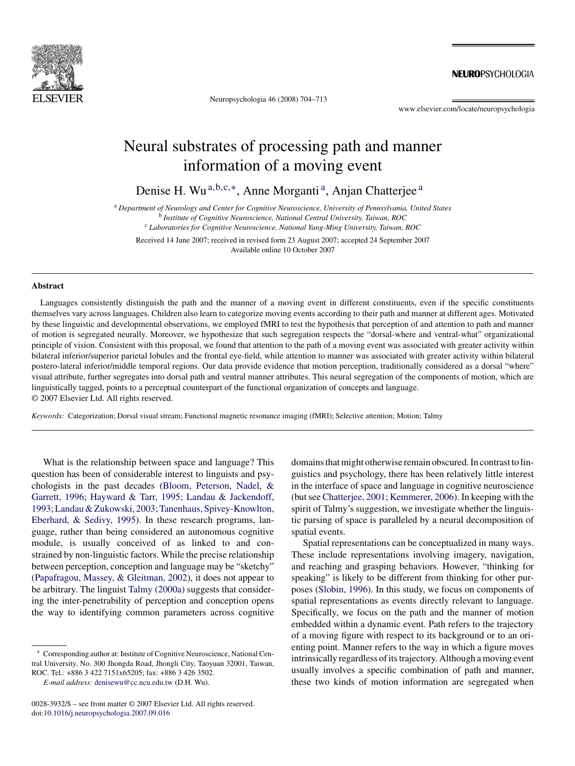

Neuropsychologia 46 (2008) 704–713

**NEUROPSYCHOLOGIA** 

www.elsevier.com/locate/neuropsychologia

# Neural substrates of processing path and manner information of a moving event

Denise H. Wu<sup>a,b,c,∗</sup>, Anne Morganti<sup>a</sup>, Anjan Chatterjee<sup>a</sup>

<sup>a</sup> *Department of Neurology and Center for Cognitive Neuroscience, University of Pennsylvania, United States* <sup>b</sup> *Institute of Cognitive Neuroscience, National Central University, Taiwan, ROC*

<sup>c</sup> *Laboratories for Cognitive Neuroscience, National Yang-Ming University, Taiwan, ROC*

Received 14 June 2007; received in revised form 23 August 2007; accepted 24 September 2007 Available online 10 October 2007

# **Abstract**

Languages consistently distinguish the path and the manner of a moving event in different constituents, even if the specific constituents themselves vary across languages. Children also learn to categorize moving events according to their path and manner at different ages. Motivated by these linguistic and developmental observations, we employed fMRI to test the hypothesis that perception of and attention to path and manner of motion is segregated neurally. Moreover, we hypothesize that such segregation respects the "dorsal-where and ventral-what" organizational principle of vision. Consistent with this proposal, we found that attention to the path of a moving event was associated with greater activity within bilateral inferior/superior parietal lobules and the frontal eye-field, while attention to manner was associated with greater activity within bilateral postero-lateral inferior/middle temporal regions. Our data provide evidence that motion perception, traditionally considered as a dorsal "where" visual attribute, further segregates into dorsal path and ventral manner attributes. This neural segregation of the components of motion, which are linguistically tagged, points to a perceptual counterpart of the functional organization of concepts and language. © 2007 Elsevier Ltd. All rights reserved.

*Keywords:* Categorization; Dorsal visual stream; Functional magnetic resonance imaging (fMRI); Selective attention; Motion; Talmy

What is the relationship between space and language? This question has been of considerable interest to linguists and psychologists in the past decades ([Bloom, Peterson, Nadel, &](#page-8-0) [Garrett, 1996;](#page-8-0) [Hayward & Tarr, 1995;](#page-9-0) [Landau & Jackendoff,](#page-9-0) [1993;Landau & Zukowski, 2003;Tanenhaus, Spivey-Knowlton,](#page-9-0) [Eberhard, & Sedivy, 1995\).](#page-9-0) In these research programs, language, rather than being considered an autonomous cognitive module, is usually conceived of as linked to and constrained by non-linguistic factors. While the precise relationship between perception, conception and language may be "sketchy" [\(Papafragou, Massey, & Gleitman, 2002\),](#page-9-0) it does not appear to be arbitrary. The linguist [Talmy \(2000a\)](#page-9-0) suggests that considering the inter-penetrability of perception and conception opens the way to identifying common parameters across cognitive

domains that might otherwise remain obscured. In contrast to linguistics and psychology, there has been relatively little interest in the interface of space and language in cognitive neuroscience (but see [Chatterjee, 2001; Kemmerer, 2006\).](#page-8-0) In keeping with the spirit of Talmy's suggestion, we investigate whether the linguistic parsing of space is paralleled by a neural decomposition of spatial events.

Spatial representations can be conceptualized in many ways. These include representations involving imagery, navigation, and reaching and grasping behaviors. However, "thinking for speaking" is likely to be different from thinking for other purposes ([Slobin, 1996\).](#page-9-0) In this study, we focus on components of spatial representations as events directly relevant to language. Specifically, we focus on the path and the manner of motion embedded within a dynamic event. Path refers to the trajectory of a moving figure with respect to its background or to an orienting point. Manner refers to the way in which a figure moves intrinsically regardless of its trajectory. Although a moving event usually involves a specific combination of path and manner, these two kinds of motion information are segregated when

<sup>∗</sup> Corresponding author at: Institute of Cognitive Neuroscience, National Central University, No. 300 Jhongda Road, Jhongli City, Taoyuan 32001, Taiwan, ROC. Tel.: +886 3 422 7151x65205; fax: +886 3 426 3502.

*E-mail address:* [denisewu@cc.ncu.edu.tw](mailto:denisewu@cc.ncu.edu.tw) (D.H. Wu).

<sup>0028-3932/\$ –</sup> see front matter © 2007 Elsevier Ltd. All rights reserved. doi[:10.1016/j.neuropsychologia.2007.09.016](dx.doi.org/10.1016/j.neuropsychologia.2007.09.016)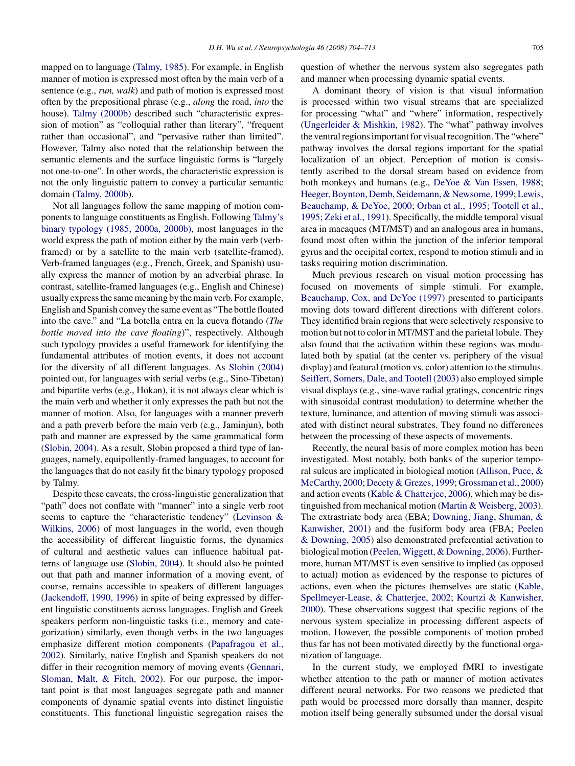mapped on to language ([Talmy, 1985\).](#page-9-0) For example, in English manner of motion is expressed most often by the main verb of a sentence (e.g., *run, walk*) and path of motion is expressed most often by the prepositional phrase (e.g., *along* the road, *into* the house). [Talmy \(2000b\)](#page-9-0) described such "characteristic expression of motion" as "colloquial rather than literary", "frequent rather than occasional", and "pervasive rather than limited". However, Talmy also noted that the relationship between the semantic elements and the surface linguistic forms is "largely not one-to-one". In other words, the characteristic expression is not the only linguistic pattern to convey a particular semantic domain [\(Talmy, 2000b\).](#page-9-0)

Not all languages follow the same mapping of motion components to language constituents as English. Following [Talmy's](#page-9-0) [binary typology \(1985, 2000a, 2000b\),](#page-9-0) most languages in the world express the path of motion either by the main verb (verbframed) or by a satellite to the main verb (satellite-framed). Verb-framed languages (e.g., French, Greek, and Spanish) usually express the manner of motion by an adverbial phrase. In contrast, satellite-framed languages (e.g., English and Chinese) usually express the same meaning by the main verb. For example, English and Spanish convey the same event as "The bottle floated into the cave." and "La botella entra en la cueva flotando (*The bottle moved into the cave floating*)", respectively. Although such typology provides a useful framework for identifying the fundamental attributes of motion events, it does not account for the diversity of all different languages. As [Slobin \(2004\)](#page-9-0) pointed out, for languages with serial verbs (e.g., Sino-Tibetan) and bipartite verbs (e.g., Hokan), it is not always clear which is the main verb and whether it only expresses the path but not the manner of motion. Also, for languages with a manner preverb and a path preverb before the main verb (e.g., Jaminjun), both path and manner are expressed by the same grammatical form ([Slobin, 2004\).](#page-9-0) As a result, Slobin proposed a third type of languages, namely, equipollently-framed languages, to account for the languages that do not easily fit the binary typology proposed by Talmy.

Despite these caveats, the cross-linguistic generalization that "path" does not conflate with "manner" into a single verb root seems to capture the "characteristic tendency" ([Levinson &](#page-9-0) [Wilkins, 2006\)](#page-9-0) of most languages in the world, even though the accessibility of different linguistic forms, the dynamics of cultural and aesthetic values can influence habitual patterns of language use [\(Slobin, 2004\).](#page-9-0) It should also be pointed out that path and manner information of a moving event, of course, remains accessible to speakers of different languages ([Jackendoff, 1990, 1996\)](#page-9-0) in spite of being expressed by different linguistic constituents across languages. English and Greek speakers perform non-linguistic tasks (i.e., memory and categorization) similarly, even though verbs in the two languages emphasize different motion components ([Papafragou et al.,](#page-9-0) [2002\).](#page-9-0) Similarly, native English and Spanish speakers do not differ in their recognition memory of moving events [\(Gennari,](#page-8-0) [Sloman, Malt, & Fitch, 2002\).](#page-8-0) For our purpose, the important point is that most languages segregate path and manner components of dynamic spatial events into distinct linguistic constituents. This functional linguistic segregation raises the question of whether the nervous system also segregates path and manner when processing dynamic spatial events.

A dominant theory of vision is that visual information is processed within two visual streams that are specialized for processing "what" and "where" information, respectively ([Ungerleider & Mishkin, 1982\).](#page-9-0) The "what" pathway involves the ventral regions important for visual recognition. The "where" pathway involves the dorsal regions important for the spatial localization of an object. Perception of motion is consistently ascribed to the dorsal stream based on evidence from both monkeys and humans (e.g., [DeYoe & Van Essen, 1988;](#page-8-0) [Heeger, Boynton, Demb, Seidemann, & Newsome, 1999;](#page-9-0) [Lewis,](#page-9-0) [Beauchamp, & DeYoe, 2000;](#page-9-0) [Orban et al., 1995; Tootell et al.,](#page-9-0) [1995; Zeki et al., 1991\).](#page-9-0) Specifically, the middle temporal visual area in macaques (MT/MST) and an analogous area in humans, found most often within the junction of the inferior temporal gyrus and the occipital cortex, respond to motion stimuli and in tasks requiring motion discrimination.

Much previous research on visual motion processing has focused on movements of simple stimuli. For example, [Beauchamp, Cox, and DeYoe \(1997\)](#page-8-0) presented to participants moving dots toward different directions with different colors. They identified brain regions that were selectively responsive to motion but not to color in MT/MST and the parietal lobule. They also found that the activation within these regions was modulated both by spatial (at the center vs. periphery of the visual display) and featural (motion vs. color) attention to the stimulus. [Seiffert, Somers, Dale, and Tootell \(2003\)](#page-9-0) also employed simple visual displays (e.g., sine-wave radial gratings, concentric rings with sinusoidal contrast modulation) to determine whether the texture, luminance, and attention of moving stimuli was associated with distinct neural substrates. They found no differences between the processing of these aspects of movements.

Recently, the neural basis of more complex motion has been investigated. Most notably, both banks of the superior temporal sulcus are implicated in biological motion ([Allison, Puce, &](#page-8-0) [McCarthy, 2000;](#page-8-0) [Decety & Grezes, 1999;](#page-8-0) [Grossman et al., 2000\)](#page-9-0) and action events ([Kable & Chatterjee, 2006\),](#page-9-0) which may be distinguished from mechanical motion ([Martin & Weisberg, 2003\).](#page-9-0) The extrastriate body area (EBA; [Downing, Jiang, Shuman, &](#page-8-0) [Kanwisher, 2001\)](#page-8-0) and the fusiform body area (FBA; [Peelen](#page-9-0) [& Downing, 2005\)](#page-9-0) also demonstrated preferential activation to biological motion [\(Peelen, Wiggett, & Downing, 2006\).](#page-9-0) Furthermore, human MT/MST is even sensitive to implied (as opposed to actual) motion as evidenced by the response to pictures of actions, even when the pictures themselves are static [\(Kable,](#page-9-0) [Spellmeyer-Lease, & Chatterjee, 2002;](#page-9-0) [Kourtzi & Kanwisher,](#page-9-0) [2000\).](#page-9-0) These observations suggest that specific regions of the nervous system specialize in processing different aspects of motion. However, the possible components of motion probed thus far has not been motivated directly by the functional organization of language.

In the current study, we employed fMRI to investigate whether attention to the path or manner of motion activates different neural networks. For two reasons we predicted that path would be processed more dorsally than manner, despite motion itself being generally subsumed under the dorsal visual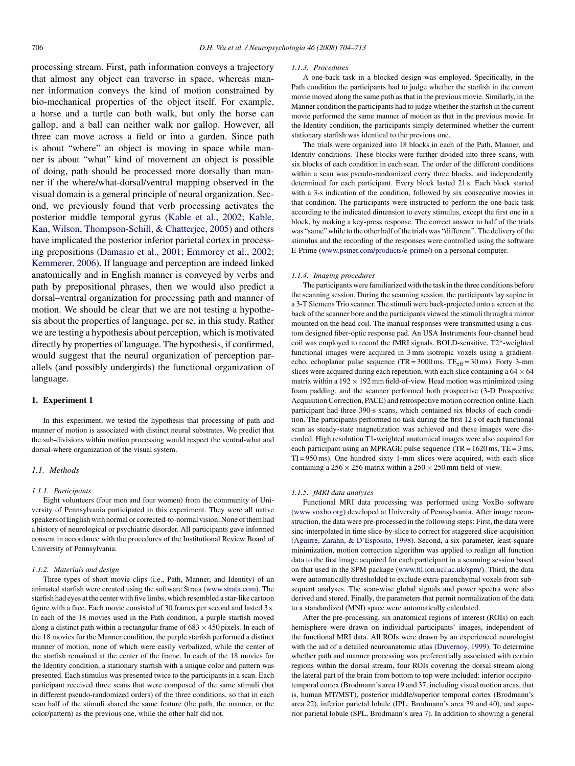processing stream. First, path information conveys a trajectory that almost any object can traverse in space, whereas manner information conveys the kind of motion constrained by bio-mechanical properties of the object itself. For example, a horse and a turtle can both walk, but only the horse can gallop, and a ball can neither walk nor gallop. However, all three can move across a field or into a garden. Since path is about "where" an object is moving in space while manner is about "what" kind of movement an object is possible of doing, path should be processed more dorsally than manner if the where/what-dorsal/ventral mapping observed in the visual domain is a general principle of neural organization. Second, we previously found that verb processing activates the posterior middle temporal gyrus [\(Kable et al., 2002;](#page-9-0) [Kable,](#page-9-0) [Kan, Wilson, Thompson-Schill, & Chatterjee, 2005\)](#page-9-0) and others have implicated the posterior inferior parietal cortex in processing prepositions ([Damasio et al., 2001; Emmorey et al., 2002;](#page-8-0) [Kemmerer, 2006\).](#page-8-0) If language and perception are indeed linked anatomically and in English manner is conveyed by verbs and path by prepositional phrases, then we would also predict a dorsal–ventral organization for processing path and manner of motion. We should be clear that we are not testing a hypothesis about the properties of language, per se, in this study. Rather we are testing a hypothesis about perception, which is motivated directly by properties of language. The hypothesis, if confirmed, would suggest that the neural organization of perception parallels (and possibly undergirds) the functional organization of language.

# **1. Experiment 1**

In this experiment, we tested the hypothesis that processing of path and manner of motion is associated with distinct neural substrates. We predict that the sub-divisions within motion processing would respect the ventral-what and dorsal-where organization of the visual system.

# *1.1. Methods*

#### *1.1.1. Participants*

Eight volunteers (four men and four women) from the community of University of Pennsylvania participated in this experiment. They were all native speakers of English with normal or corrected-to-normal vision. None of them had a history of neurological or psychiatric disorder. All participants gave informed consent in accordance with the procedures of the Institutional Review Board of University of Pennsylvania.

### *1.1.2. Materials and design*

Three types of short movie clips (i.e., Path, Manner, and Identity) of an animated starfish were created using the software Strata [\(www.strata.com](http://www.strata.com/)). The starfish had eyes at the center with five limbs, which resembled a star-like cartoon figure with a face. Each movie consisted of 30 frames per second and lasted 3 s. In each of the 18 movies used in the Path condition, a purple starfish moved along a distinct path within a rectangular frame of  $683 \times 450$  pixels. In each of the 18 movies for the Manner condition, the purple starfish performed a distinct manner of motion, none of which were easily verbalized, while the center of the starfish remained at the center of the frame. In each of the 18 movies for the Identity condition, a stationary starfish with a unique color and pattern was presented. Each stimulus was presented twice to the participants in a scan. Each participant received three scans that were composed of the same stimuli (but in different pseudo-randomized orders) of the three conditions, so that in each scan half of the stimuli shared the same feature (the path, the manner, or the color/pattern) as the previous one, while the other half did not.

#### *1.1.3. Procedures*

A one-back task in a blocked design was employed. Specifically, in the Path condition the participants had to judge whether the starfish in the current movie moved along the same path as that in the previous movie. Similarly, in the Manner condition the participants had to judge whether the starfish in the current movie performed the same manner of motion as that in the previous movie. In the Identity condition, the participants simply determined whether the current stationary starfish was identical to the previous one.

The trials were organized into 18 blocks in each of the Path, Manner, and Identity conditions. These blocks were further divided into three scans, with six blocks of each condition in each scan. The order of the different conditions within a scan was pseudo-randomized every three blocks, and independently determined for each participant. Every block lasted 21 s. Each block started with a 3-s indication of the condition, followed by six consecutive movies in that condition. The participants were instructed to perform the one-back task according to the indicated dimension to every stimulus, except the first one in a block, by making a key-press response. The correct answer to half of the trials was "same" while to the other half of the trials was "different". The delivery of the stimulus and the recording of the responses were controlled using the software E-Prime [\(www.pstnet.com/products/e-prime/](http://www.pstnet.com/products/e-prime/)) on a personal computer.

# *1.1.4. Imaging procedures*

The participants were familiarized with the task in the three conditions before the scanning session. During the scanning session, the participants lay supine in a 3-T Siemens Trio scanner. The stimuli were back-projected onto a screen at the back of the scanner bore and the participants viewed the stimuli through a mirror mounted on the head coil. The manual responses were transmitted using a custom designed fiber-optic response pad. An USA Instruments four-channel head coil was employed to record the fMRI signals. BOLD-sensitive, T2\*-weighted functional images were acquired in 3 mm isotropic voxels using a gradientecho, echoplanar pulse sequence  $(TR = 3000 \text{ ms}, TE_{eff} = 30 \text{ ms})$ . Forty 3-mm slices were acquired during each repetition, with each slice containing a  $64 \times 64$ matrix within a  $192 \times 192$  mm field-of-view. Head motion was minimized using foam padding, and the scanner performed both prospective (3-D Prospective Acquisition Correction, PACE) and retrospective motion correction online. Each participant had three 390-s scans, which contained six blocks of each condition. The participants performed no task during the first 12 s of each functional scan as steady-state magnetization was achieved and these images were discarded. High resolution T1-weighted anatomical images were also acquired for each participant using an MPRAGE pulse sequence (TR = 1620 ms, TE = 3 ms, TI = 950 ms). One hundred sixty 1-mm slices were acquired, with each slice containing a  $256 \times 256$  matrix within a  $250 \times 250$  mm field-of-view.

# *1.1.5. fMRI data analyses*

Functional MRI data processing was performed using VoxBo software [\(www.voxbo.org](http://www.voxbo.org/)) developed at University of Pennsylvania. After image reconstruction, the data were pre-processed in the following steps: First, the data were sinc-interpolated in time slice-by-slice to correct for staggered slice-acquisition [\(Aguirre, Zarahn, & D'Esposito, 1998\).](#page-8-0) Second, a six-parameter, least-square minimization, motion correction algorithm was applied to realign all function data to the first image acquired for each participant in a scanning session based on that used in the SPM package ([www.fil.ion.ucl.ac.uk/spm/\)](http://www.fil.ion.ucl.ac.uk/spm/). Third, the data were automatically thresholded to exclude extra-parenchymal voxels from subsequent analyses. The scan-wise global signals and power spectra were also derived and stored. Finally, the parameters that permit normalization of the data to a standardized (MNI) space were automatically calculated.

After the pre-processing, six anatomical regions of interest (ROIs) on each hemisphere were drawn on individual participants' images, independent of the functional MRI data. All ROIs were drawn by an experienced neurologist with the aid of a detailed neuroanatomic atlas ([Duvernoy, 1999\).](#page-8-0) To determine whether path and manner processing was preferentially associated with certain regions within the dorsal stream, four ROIs covering the dorsal stream along the lateral part of the brain from bottom to top were included: inferior occipitotemporal cortex (Brodmann's area 19 and 37, including visual motion areas, that is, human MT/MST), posterior middle/superior temporal cortex (Brodmann's area 22), inferior parietal lobule (IPL, Brodmann's area 39 and 40), and superior parietal lobule (SPL, Brodmann's area 7). In addition to showing a general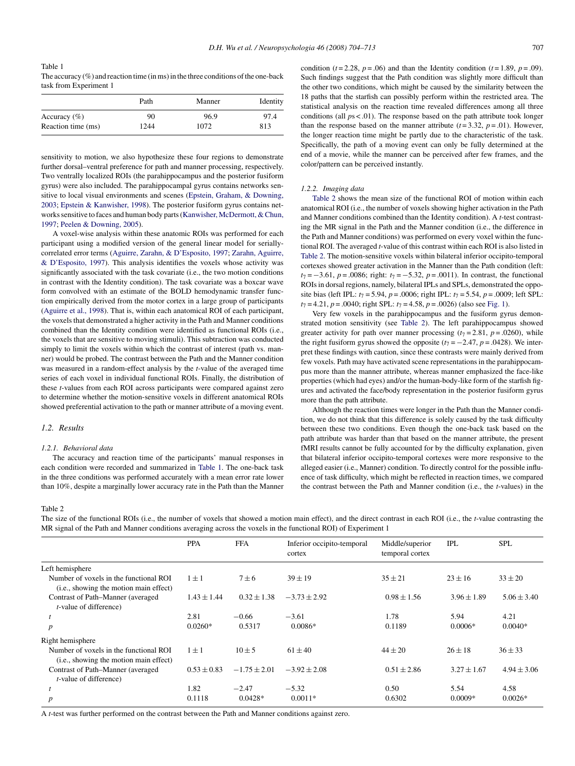# Table 1 The accuracy  $(\%)$  and reaction time (in ms) in the three conditions of the one-back task from Experiment 1

|                    | Path | Manner | Identity |  |
|--------------------|------|--------|----------|--|
| Accuracy $(\% )$   | 90   | 96.9   | 97.4     |  |
| Reaction time (ms) | 1244 | 1072   | 813      |  |

sensitivity to motion, we also hypothesize these four regions to demonstrate further dorsal–ventral preference for path and manner processing, respectively. Two ventrally localized ROIs (the parahippocampus and the posterior fusiform gyrus) were also included. The parahippocampal gyrus contains networks sensitive to local visual environments and scenes [\(Epstein, Graham, & Downing,](#page-8-0) [2003;](#page-8-0) [Epstein & Kanwisher, 1998\).](#page-8-0) The posterior fusiform gyrus contains networks sensitive to faces and human body parts [\(Kanwisher, McDermott, & Chun,](#page-9-0) [1997;](#page-9-0) [Peelen & Downing, 2005\).](#page-9-0)

A voxel-wise analysis within these anatomic ROIs was performed for each participant using a modified version of the general linear model for seriallycorrelated error terms [\(Aguirre, Zarahn, & D'Esposito, 1997;](#page-8-0) [Zarahn, Aguirre,](#page-9-0) [& D'Esposito, 1997\).](#page-9-0) This analysis identifies the voxels whose activity was significantly associated with the task covariate (i.e., the two motion conditions in contrast with the Identity condition). The task covariate was a boxcar wave form convolved with an estimate of the BOLD hemodynamic transfer function empirically derived from the motor cortex in a large group of participants [\(Aguirre et al., 1998\).](#page-8-0) That is, within each anatomical ROI of each participant, the voxels that demonstrated a higher activity in the Path and Manner conditions combined than the Identity condition were identified as functional ROIs (i.e., the voxels that are sensitive to moving stimuli). This subtraction was conducted simply to limit the voxels within which the contrast of interest (path vs. manner) would be probed. The contrast between the Path and the Manner condition was measured in a random-effect analysis by the *t*-value of the averaged time series of each voxel in individual functional ROIs. Finally, the distribution of these *t*-values from each ROI across participants were compared against zero to determine whether the motion-sensitive voxels in different anatomical ROIs showed preferential activation to the path or manner attribute of a moving event.

# *1.2. Results*

# *1.2.1. Behavioral data*

The accuracy and reaction time of the participants' manual responses in each condition were recorded and summarized in Table 1. The one-back task in the three conditions was performed accurately with a mean error rate lower than 10%, despite a marginally lower accuracy rate in the Path than the Manner condition ( $t = 2.28$ ,  $p = .06$ ) and than the Identity condition ( $t = 1.89$ ,  $p = .09$ ). Such findings suggest that the Path condition was slightly more difficult than the other two conditions, which might be caused by the similarity between the 18 paths that the starfish can possibly perform within the restricted area. The statistical analysis on the reaction time revealed differences among all three conditions (all  $ps < .01$ ). The response based on the path attribute took longer than the response based on the manner attribute  $(t=3.32, p=.01)$ . However, the longer reaction time might be partly due to the characteristic of the task. Specifically, the path of a moving event can only be fully determined at the end of a movie, while the manner can be perceived after few frames, and the color/pattern can be perceived instantly.

## *1.2.2. Imaging data*

Table 2 shows the mean size of the functional ROI of motion within each anatomical ROI (i.e., the number of voxels showing higher activation in the Path and Manner conditions combined than the Identity condition). A *t*-test contrasting the MR signal in the Path and the Manner condition (i.e., the difference in the Path and Manner conditions) was performed on every voxel within the functional ROI. The averaged *t*-value of this contrast within each ROI is also listed in Table 2. The motion-sensitive voxels within bilateral inferior occipito-temporal cortexes showed greater activation in the Manner than the Path condition (left: *t*<sub>7</sub> = −3.61, *p* = .0086; right: *t*<sub>7</sub> = −5.32, *p* = .0011). In contrast, the functional ROIs in dorsal regions, namely, bilateral IPLs and SPLs, demonstrated the opposite bias (left IPL:  $t_7 = 5.94$ ,  $p = .0006$ ; right IPL:  $t_7 = 5.54$ ,  $p = .0009$ ; left SPL:  $t_7 = 4.21$ ,  $p = .0040$ ; right SPL:  $t_7 = 4.58$ ,  $p = .0026$ ) (also see [Fig. 1\).](#page-4-0)

Very few voxels in the parahippocampus and the fusiform gyrus demonstrated motion sensitivity (see Table 2). The left parahippocampus showed greater activity for path over manner processing  $(t_7 = 2.81, p = .0260)$ , while the right fusiform gyrus showed the opposite  $(t_7 = -2.47, p = .0428)$ . We interpret these findings with caution, since these contrasts were mainly derived from few voxels. Path may have activated scene representations in the parahippocampus more than the manner attribute, whereas manner emphasized the face-like properties (which had eyes) and/or the human-body-like form of the starfish figures and activated the face/body representation in the posterior fusiform gyrus more than the path attribute.

Although the reaction times were longer in the Path than the Manner condition, we do not think that this difference is solely caused by the task difficulty between these two conditions. Even though the one-back task based on the path attribute was harder than that based on the manner attribute, the present fMRI results cannot be fully accounted for by the difficulty explanation, given that bilateral inferior occipito-temporal cortexes were more responsive to the alleged easier (i.e., Manner) condition. To directly control for the possible influence of task difficulty, which might be reflected in reaction times, we compared the contrast between the Path and Manner condition (i.e., the *t*-values) in the

# Table 2

The size of the functional ROIs (i.e., the number of voxels that showed a motion main effect), and the direct contrast in each ROI (i.e., the *t*-value contrasting the MR signal of the Path and Manner conditions averaging across the voxels in the functional ROI) of Experiment 1

|                                                                                           | <b>PPA</b>      | <b>FFA</b>       | Inferior occipito-temporal<br>cortex | Middle/superior<br>temporal cortex | <b>IPL</b>      | <b>SPL</b>      |
|-------------------------------------------------------------------------------------------|-----------------|------------------|--------------------------------------|------------------------------------|-----------------|-----------------|
| Left hemisphere                                                                           |                 |                  |                                      |                                    |                 |                 |
| Number of voxels in the functional ROI<br>( <i>i.e.</i> , showing the motion main effect) | $1 \pm 1$       | $7 + 6$          | $39 + 19$                            | $35 + 21$                          | $23 \pm 16$     | $33 \pm 20$     |
| Contrast of Path–Manner (averaged)<br><i>t</i> -value of difference)                      | $1.43 \pm 1.44$ | $0.32 \pm 1.38$  | $-3.73 \pm 2.92$                     | $0.98 \pm 1.56$                    | $3.96 \pm 1.89$ | $5.06 \pm 3.40$ |
|                                                                                           | 2.81            | $-0.66$          | $-3.61$                              | 1.78                               | 5.94            | 4.21            |
| $\boldsymbol{p}$                                                                          | $0.0260*$       | 0.5317           | $0.0086*$                            | 0.1189                             | $0.0006*$       | $0.0040*$       |
| Right hemisphere                                                                          |                 |                  |                                      |                                    |                 |                 |
| Number of voxels in the functional ROI<br>( <i>i.e.</i> , showing the motion main effect) | $1 \pm 1$       | $10 + 5$         | $61 + 40$                            | $44 + 20$                          | $26 + 18$       | $36 + 33$       |
| Contrast of Path–Manner (averaged<br><i>t</i> -value of difference)                       | $0.53 \pm 0.83$ | $-1.75 \pm 2.01$ | $-3.92 \pm 2.08$                     | $0.51 \pm 2.86$                    | $3.27 + 1.67$   | $4.94 \pm 3.06$ |
|                                                                                           | 1.82            | $-2.47$          | $-5.32$                              | 0.50                               | 5.54            | 4.58            |
| $\boldsymbol{p}$                                                                          | 0.1118          | $0.0428*$        | $0.0011*$                            | 0.6302                             | $0.0009*$       | $0.0026*$       |

A *t*-test was further performed on the contrast between the Path and Manner conditions against zero.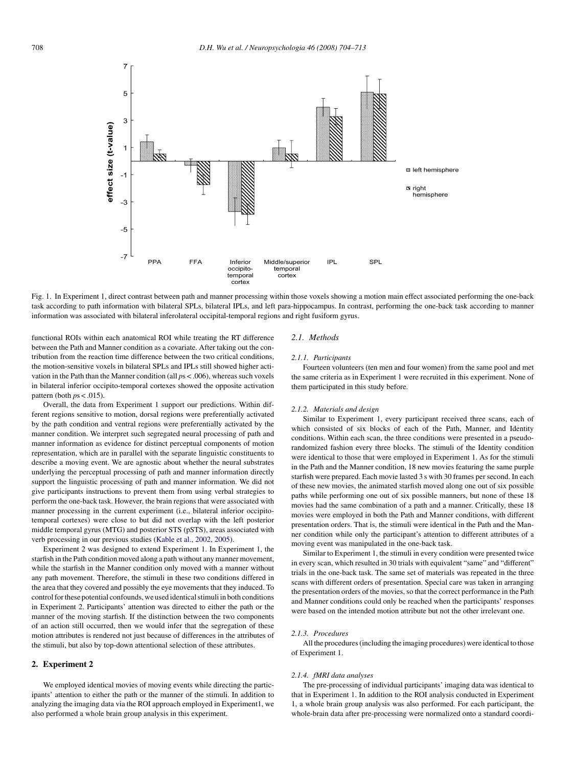<span id="page-4-0"></span>

Fig. 1. In Experiment 1, direct contrast between path and manner processing within those voxels showing a motion main effect associated performing the one-back task according to path information with bilateral SPLs, bilateral IPLs, and left para-hippocampus. In contrast, performing the one-back task according to manner information was associated with bilateral inferolateral occipital-temporal regions and right fusiform gyrus.

functional ROIs within each anatomical ROI while treating the RT difference between the Path and Manner condition as a covariate. After taking out the contribution from the reaction time difference between the two critical conditions, the motion-sensitive voxels in bilateral SPLs and IPLs still showed higher activation in the Path than the Manner condition (all *p*s < .006), whereas such voxels in bilateral inferior occipito-temporal cortexes showed the opposite activation pattern (both  $ps < .015$ ).

Overall, the data from Experiment 1 support our predictions. Within different regions sensitive to motion, dorsal regions were preferentially activated by the path condition and ventral regions were preferentially activated by the manner condition. We interpret such segregated neural processing of path and manner information as evidence for distinct perceptual components of motion representation, which are in parallel with the separate linguistic constituents to describe a moving event. We are agnostic about whether the neural substrates underlying the perceptual processing of path and manner information directly support the linguistic processing of path and manner information. We did not give participants instructions to prevent them from using verbal strategies to perform the one-back task. However, the brain regions that were associated with manner processing in the current experiment (i.e., bilateral inferior occipitotemporal cortexes) were close to but did not overlap with the left posterior middle temporal gyrus (MTG) and posterior STS (pSTS), areas associated with verb processing in our previous studies ([Kable et al., 2002, 2005\).](#page-9-0)

Experiment 2 was designed to extend Experiment 1. In Experiment 1, the starfish in the Path condition moved along a path without any manner movement, while the starfish in the Manner condition only moved with a manner without any path movement. Therefore, the stimuli in these two conditions differed in the area that they covered and possibly the eye movements that they induced. To control for these potential confounds, we used identical stimuli in both conditions in Experiment 2. Participants' attention was directed to either the path or the manner of the moving starfish. If the distinction between the two components of an action still occurred, then we would infer that the segregation of these motion attributes is rendered not just because of differences in the attributes of the stimuli, but also by top-down attentional selection of these attributes.

#### **2. Experiment 2**

We employed identical movies of moving events while directing the participants' attention to either the path or the manner of the stimuli. In addition to analyzing the imaging data via the ROI approach employed in Experiment1, we also performed a whole brain group analysis in this experiment.

# *2.1. Methods*

# *2.1.1. Participants*

Fourteen volunteers (ten men and four women) from the same pool and met the same criteria as in Experiment 1 were recruited in this experiment. None of them participated in this study before.

#### *2.1.2. Materials and design*

Similar to Experiment 1, every participant received three scans, each of which consisted of six blocks of each of the Path, Manner, and Identity conditions. Within each scan, the three conditions were presented in a pseudorandomized fashion every three blocks. The stimuli of the Identity condition were identical to those that were employed in Experiment 1. As for the stimuli in the Path and the Manner condition, 18 new movies featuring the same purple starfish were prepared. Each movie lasted 3 s with 30 frames per second. In each of these new movies, the animated starfish moved along one out of six possible paths while performing one out of six possible manners, but none of these 18 movies had the same combination of a path and a manner. Critically, these 18 movies were employed in both the Path and Manner conditions, with different presentation orders. That is, the stimuli were identical in the Path and the Manner condition while only the participant's attention to different attributes of a moving event was manipulated in the one-back task.

Similar to Experiment 1, the stimuli in every condition were presented twice in every scan, which resulted in 30 trials with equivalent "same" and "different" trials in the one-back task. The same set of materials was repeated in the three scans with different orders of presentation. Special care was taken in arranging the presentation orders of the movies, so that the correct performance in the Path and Manner conditions could only be reached when the participants' responses were based on the intended motion attribute but not the other irrelevant one.

#### *2.1.3. Procedures*

All the procedures (including the imaging procedures) were identical to those of Experiment 1.

#### *2.1.4. fMRI data analyses*

The pre-processing of individual participants' imaging data was identical to that in Experiment 1. In addition to the ROI analysis conducted in Experiment 1, a whole brain group analysis was also performed. For each participant, the whole-brain data after pre-processing were normalized onto a standard coordi-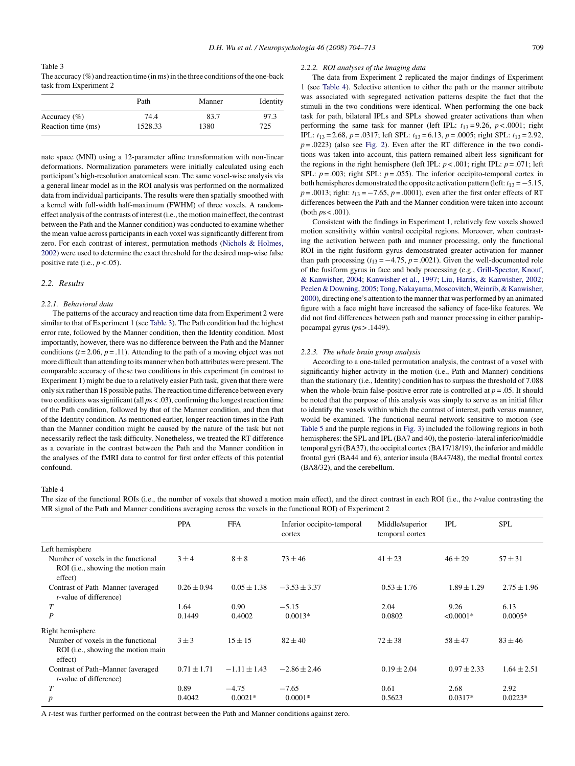Table 3 The accuracy  $(\%)$  and reaction time (in ms) in the three conditions of the one-back task from Experiment 2

|                    | Path    | Manner | Identity |
|--------------------|---------|--------|----------|
| Accuracy $(\% )$   | 74.4    | 83.7   | 97.3     |
| Reaction time (ms) | 1528.33 | 1380   | 725      |

nate space (MNI) using a 12-parameter affine transformation with non-linear deformations. Normalization parameters were initially calculated using each participant's high-resolution anatomical scan. The same voxel-wise analysis via a general linear model as in the ROI analysis was performed on the normalized data from individual participants. The results were then spatially smoothed with a kernel with full-width half-maximum (FWHM) of three voxels. A randomeffect analysis of the contrasts of interest (i.e., the motion main effect, the contrast between the Path and the Manner condition) was conducted to examine whether the mean value across participants in each voxel was significantly different from zero. For each contrast of interest, permutation methods ([Nichols & Holmes,](#page-9-0) [2002\) w](#page-9-0)ere used to determine the exact threshold for the desired map-wise false positive rate (i.e.,  $p < .05$ ).

#### *2.2. Results*

# *2.2.1. Behavioral data*

The patterns of the accuracy and reaction time data from Experiment 2 were similar to that of Experiment 1 (see Table 3). The Path condition had the highest error rate, followed by the Manner condition, then the Identity condition. Most importantly, however, there was no difference between the Path and the Manner conditions  $(t = 2.06, p = .11)$ . Attending to the path of a moving object was not more difficult than attending to its manner when both attributes were present. The comparable accuracy of these two conditions in this experiment (in contrast to Experiment 1) might be due to a relatively easier Path task, given that there were only six rather than 18 possible paths. The reaction time difference between every two conditions was significant (all *p*s < .03), confirming the longest reaction time of the Path condition, followed by that of the Manner condition, and then that of the Identity condition. As mentioned earlier, longer reaction times in the Path than the Manner condition might be caused by the nature of the task but not necessarily reflect the task difficulty. Nonetheless, we treated the RT difference as a covariate in the contrast between the Path and the Manner condition in the analyses of the fMRI data to control for first order effects of this potential confound.

#### *2.2.2. ROI analyses of the imaging data*

The data from Experiment 2 replicated the major findings of Experiment 1 (see Table 4). Selective attention to either the path or the manner attribute was associated with segregated activation patterns despite the fact that the stimuli in the two conditions were identical. When performing the one-back task for path, bilateral IPLs and SPLs showed greater activations than when performing the same task for manner (left IPL:  $t_{13} = 9.26$ ,  $p < .0001$ ; right IPL: *t*<sup>13</sup> = 2.68, *p* = .0317; left SPL: *t*<sup>13</sup> = 6.13, *p* = .0005; right SPL: *t*<sup>13</sup> = 2.92,  $p = .0223$ ) (also see [Fig. 2\).](#page-6-0) Even after the RT difference in the two conditions was taken into account, this pattern remained albeit less significant for the regions in the right hemisphere (left IPL:  $p < .001$ ; right IPL:  $p = .071$ ; left SPL:  $p = .003$ ; right SPL:  $p = .055$ ). The inferior occipito-temporal cortex in both hemispheres demonstrated the opposite activation pattern (left:  $t_{13} = -5.15$ , *p* = .0013; right: *t*<sub>13</sub> = −7.65, *p* = .0001), even after the first order effects of RT differences between the Path and the Manner condition were taken into account (both *p*s < .001).

Consistent with the findings in Experiment 1, relatively few voxels showed motion sensitivity within ventral occipital regions. Moreover, when contrasting the activation between path and manner processing, only the functional ROI in the right fusiform gyrus demonstrated greater activation for manner than path processing  $(t_{13} = -4.75, p = .0021)$ . Given the well-documented role of the fusiform gyrus in face and body processing (e.g., [Grill-Spector, Knouf,](#page-9-0) [& Kanwisher, 2004;](#page-9-0) [Kanwisher et al., 1997;](#page-9-0) [Liu, Harris, & Kanwisher, 2002;](#page-9-0) Peelen & Downing, 2005; Tong, Nakayama, Moscovitch, Weinrib, & Kanwisher, [2000\),](#page-9-0) directing one's attention to the manner that was performed by an animated figure with a face might have increased the saliency of face-like features. We did not find differences between path and manner processing in either parahippocampal gyrus (*p*s > .1449).

#### *2.2.3. The whole brain group analysis*

According to a one-tailed permutation analysis, the contrast of a voxel with significantly higher activity in the motion (i.e., Path and Manner) conditions than the stationary (i.e., Identity) condition has to surpass the threshold of 7.088 when the whole-brain false-positive error rate is controlled at  $p = .05$ . It should be noted that the purpose of this analysis was simply to serve as an initial filter to identify the voxels within which the contrast of interest, path versus manner, would be examined. The functional neural network sensitive to motion (see [Table 5](#page-7-0) and the purple regions in [Fig. 3\) i](#page-6-0)ncluded the following regions in both hemispheres: the SPL and IPL (BA7 and 40), the posterio-lateral inferior/middle temporal gyri (BA37), the occipital cortex (BA17/18/19), the inferior and middle frontal gyri (BA44 and 6), anterior insula (BA47/48), the medial frontal cortex (BA8/32), and the cerebellum.

Table 4

The size of the functional ROIs (i.e., the number of voxels that showed a motion main effect), and the direct contrast in each ROI (i.e., the *t*-value contrasting the MR signal of the Path and Manner conditions averaging across the voxels in the functional ROI) of Experiment 2

|                                                                                              | <b>PPA</b>      | <b>FFA</b>        | Inferior occipito-temporal<br>cortex | Middle/superior<br>temporal cortex | <b>IPL</b>      | <b>SPL</b>      |
|----------------------------------------------------------------------------------------------|-----------------|-------------------|--------------------------------------|------------------------------------|-----------------|-----------------|
| Left hemisphere                                                                              |                 |                   |                                      |                                    |                 |                 |
| Number of voxels in the functional<br>ROI ( <i>i.e.</i> , showing the motion main            | $3 + 4$         | $8 \pm 8$         | $73 + 46$                            | $41 \pm 23$                        | $46 + 29$       | $57 \pm 31$     |
| effect)                                                                                      |                 |                   |                                      |                                    |                 |                 |
| Contrast of Path–Manner (averaged)<br><i>t</i> -value of difference)                         | $0.26 \pm 0.94$ | $0.05 \pm 1.38$   | $-3.53 \pm 3.37$                     | $0.53 \pm 1.76$                    | $1.89 \pm 1.29$ | $2.75 \pm 1.96$ |
| $\overline{T}$                                                                               | 1.64            | 0.90 <sub>1</sub> | $-5.15$                              | 2.04                               | 9.26            | 6.13            |
| $\boldsymbol{P}$                                                                             | 0.1449          | 0.4002            | $0.0013*$                            | 0.0802                             | $< 0.0001*$     | $0.0005*$       |
| Right hemisphere                                                                             |                 |                   |                                      |                                    |                 |                 |
| Number of voxels in the functional<br>ROI ( <i>i.e.</i> , showing the motion main<br>effect) | $3 \pm 3$       | $15 + 15$         | $82 + 40$                            | $72 \pm 38$                        | $58 \pm 47$     | $83 + 46$       |
| Contrast of Path–Manner (averaged<br><i>t</i> -value of difference)                          | $0.71 \pm 1.71$ | $-1.11 \pm 1.43$  | $-2.86 \pm 2.46$                     | $0.19 \pm 2.04$                    | $0.97 \pm 2.33$ | $1.64 \pm 2.51$ |
| T                                                                                            | 0.89            | $-4.75$           | $-7.65$                              | 0.61                               | 2.68            | 2.92            |
| $\boldsymbol{p}$                                                                             | 0.4042          | $0.0021*$         | $0.0001*$                            | 0.5623                             | $0.0317*$       | $0.0223*$       |

A *t*-test was further performed on the contrast between the Path and Manner conditions against zero.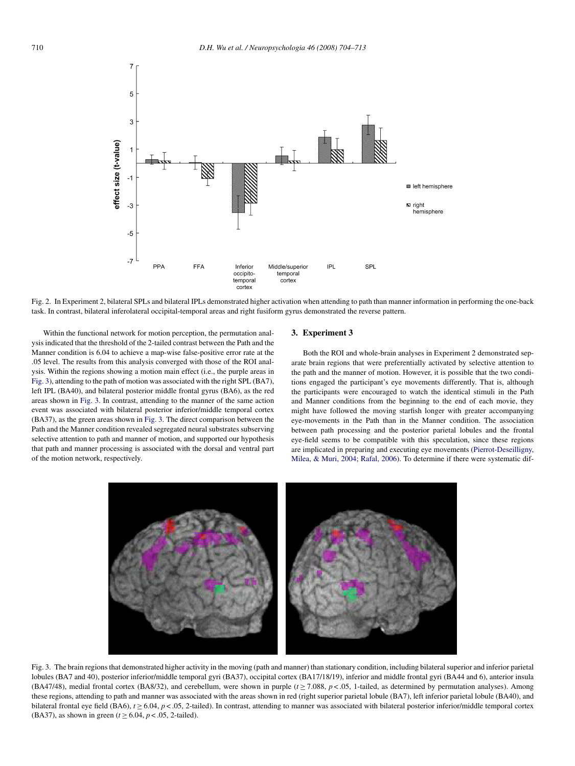<span id="page-6-0"></span>

Fig. 2. In Experiment 2, bilateral SPLs and bilateral IPLs demonstrated higher activation when attending to path than manner information in performing the one-back task. In contrast, bilateral inferolateral occipital-temporal areas and right fusiform gyrus demonstrated the reverse pattern.

Within the functional network for motion perception, the permutation analysis indicated that the threshold of the 2-tailed contrast between the Path and the Manner condition is 6.04 to achieve a map-wise false-positive error rate at the .05 level. The results from this analysis converged with those of the ROI analysis. Within the regions showing a motion main effect (i.e., the purple areas in Fig. 3), attending to the path of motion was associated with the right SPL (BA7), left IPL (BA40), and bilateral posterior middle frontal gyrus (BA6), as the red areas shown in Fig. 3. In contrast, attending to the manner of the same action event was associated with bilateral posterior inferior/middle temporal cortex (BA37), as the green areas shown in Fig. 3. The direct comparison between the Path and the Manner condition revealed segregated neural substrates subserving selective attention to path and manner of motion, and supported our hypothesis that path and manner processing is associated with the dorsal and ventral part of the motion network, respectively.

# **3. Experiment 3**

Both the ROI and whole-brain analyses in Experiment 2 demonstrated separate brain regions that were preferentially activated by selective attention to the path and the manner of motion. However, it is possible that the two conditions engaged the participant's eye movements differently. That is, although the participants were encouraged to watch the identical stimuli in the Path and Manner conditions from the beginning to the end of each movie, they might have followed the moving starfish longer with greater accompanying eye-movements in the Path than in the Manner condition. The association between path processing and the posterior parietal lobules and the frontal eye-field seems to be compatible with this speculation, since these regions are implicated in preparing and executing eye movements [\(Pierrot-Deseilligny,](#page-9-0) [Milea, & Muri, 2004;](#page-9-0) [Rafal, 2006\).](#page-9-0) To determine if there were systematic dif-



Fig. 3. The brain regions that demonstrated higher activity in the moving (path and manner) than stationary condition, including bilateral superior and inferior parietal lobules (BA7 and 40), posterior inferior/middle temporal gyri (BA37), occipital cortex (BA17/18/19), inferior and middle frontal gyri (BA44 and 6), anterior insula (BA47/48), medial frontal cortex (BA8/32), and cerebellum, were shown in purple  $(t > 7.088, p < 0.05, 1$ -tailed, as determined by permutation analyses). Among these regions, attending to path and manner was associated with the areas shown in red (right superior parietal lobule (BA7), left inferior parietal lobule (BA40), and bilateral frontal eye field (BA6),  $t \ge 6.04$ ,  $p < .05$ , 2-tailed). In contrast, attending to manner was associated with bilateral posterior inferior/middle temporal cortex (BA37), as shown in green ( $t \ge 6.04$ ,  $p < .05$ , 2-tailed).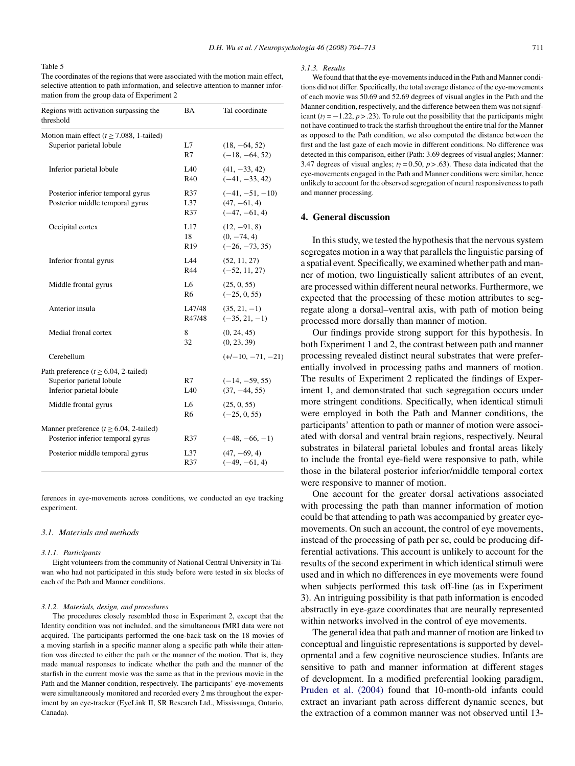# <span id="page-7-0"></span>Table 5

The coordinates of the regions that were associated with the motion main effect, selective attention to path information, and selective attention to manner information from the group data of Experiment 2

| Regions with activation surpassing the<br>threshold                                                | BA                           | Tal coordinate                                         |
|----------------------------------------------------------------------------------------------------|------------------------------|--------------------------------------------------------|
| Motion main effect ( $t \ge 7.088$ , 1-tailed)<br>Superior parietal lobule                         | L7<br>R7                     | $(18, -64, 52)$<br>$(-18, -64, 52)$                    |
| Inferior parietal lobule                                                                           | IA0<br>R40                   | $(41, -33, 42)$<br>$(-41, -33, 42)$                    |
| Posterior inferior temporal gyrus<br>Posterior middle temporal gyrus                               | R37<br>L37<br>R37            | $(-41, -51, -10)$<br>$(47, -61, 4)$<br>$(-47, -61, 4)$ |
| Occipital cortex                                                                                   | L17<br>18<br>R <sub>19</sub> | $(12, -91, 8)$<br>$(0, -74, 4)$<br>$(-26, -73, 35)$    |
| Inferior frontal gyrus                                                                             | L44<br>R44                   | (52, 11, 27)<br>$(-52, 11, 27)$                        |
| Middle frontal gyrus                                                                               | L6<br>R <sub>6</sub>         | (25, 0, 55)<br>$(-25, 0, 55)$                          |
| Anterior insula                                                                                    | L47/48<br>R47/48             | $(35, 21, -1)$<br>$(-35, 21, -1)$                      |
| Medial fronal cortex                                                                               | 8<br>32                      | (0, 24, 45)<br>(0, 23, 39)                             |
| Cerebellum                                                                                         |                              | $(+/-10, -71, -21)$                                    |
| Path preference ( $t \ge 6.04$ , 2-tailed)<br>Superior parietal lobule<br>Inferior parietal lobule | R7<br>L40                    | $(-14, -59, 55)$<br>$(37, -44, 55)$                    |
| Middle frontal gyrus                                                                               | L6<br>R6                     | (25, 0, 55)<br>$(-25, 0, 55)$                          |
| Manner preference ( $t \ge 6.04$ , 2-tailed)                                                       |                              |                                                        |
| Posterior inferior temporal gyrus                                                                  | R37                          | $(-48, -66, -1)$                                       |
| Posterior middle temporal gyrus                                                                    | L37<br>R37                   | $(47, -69, 4)$<br>$(-49, -61, 4)$                      |

ferences in eye-movements across conditions, we conducted an eye tracking experiment.

#### *3.1. Materials and methods*

#### *3.1.1. Participants*

Eight volunteers from the community of National Central University in Taiwan who had not participated in this study before were tested in six blocks of each of the Path and Manner conditions.

# *3.1.2. Materials, design, and procedures*

The procedures closely resembled those in Experiment 2, except that the Identity condition was not included, and the simultaneous fMRI data were not acquired. The participants performed the one-back task on the 18 movies of a moving starfish in a specific manner along a specific path while their attention was directed to either the path or the manner of the motion. That is, they made manual responses to indicate whether the path and the manner of the starfish in the current movie was the same as that in the previous movie in the Path and the Manner condition, respectively. The participants' eye-movements were simultaneously monitored and recorded every 2 ms throughout the experiment by an eye-tracker (EyeLink II, SR Research Ltd., Mississauga, Ontario, Canada).

#### *3.1.3. Results*

We found that that the eye-movements induced in the Path and Manner conditions did not differ. Specifically, the total average distance of the eye-movements of each movie was 50.69 and 52.69 degrees of visual angles in the Path and the Manner condition, respectively, and the difference between them was not significant  $(t_7 = -1.22, p > .23)$ . To rule out the possibility that the participants might not have continued to track the starfish throughout the entire trial for the Manner as opposed to the Path condition, we also computed the distance between the first and the last gaze of each movie in different conditions. No difference was detected in this comparison, either (Path: 3.69 degrees of visual angles; Manner: 3.47 degrees of visual angles;  $t_7 = 0.50$ ,  $p > .63$ ). These data indicated that the eye-movements engaged in the Path and Manner conditions were similar, hence unlikely to account for the observed segregation of neural responsiveness to path and manner processing.

# **4. General discussion**

In this study, we tested the hypothesis that the nervous system segregates motion in a way that parallels the linguistic parsing of a spatial event. Specifically, we examined whether path and manner of motion, two linguistically salient attributes of an event, are processed within different neural networks. Furthermore, we expected that the processing of these motion attributes to segregate along a dorsal–ventral axis, with path of motion being processed more dorsally than manner of motion.

Our findings provide strong support for this hypothesis. In both Experiment 1 and 2, the contrast between path and manner processing revealed distinct neural substrates that were preferentially involved in processing paths and manners of motion. The results of Experiment 2 replicated the findings of Experiment 1, and demonstrated that such segregation occurs under more stringent conditions. Specifically, when identical stimuli were employed in both the Path and Manner conditions, the participants' attention to path or manner of motion were associated with dorsal and ventral brain regions, respectively. Neural substrates in bilateral parietal lobules and frontal areas likely to include the frontal eye-field were responsive to path, while those in the bilateral posterior inferior/middle temporal cortex were responsive to manner of motion.

One account for the greater dorsal activations associated with processing the path than manner information of motion could be that attending to path was accompanied by greater eyemovements. On such an account, the control of eye movements, instead of the processing of path per se, could be producing differential activations. This account is unlikely to account for the results of the second experiment in which identical stimuli were used and in which no differences in eye movements were found when subjects performed this task off-line (as in Experiment 3). An intriguing possibility is that path information is encoded abstractly in eye-gaze coordinates that are neurally represented within networks involved in the control of eye movements.

The general idea that path and manner of motion are linked to conceptual and linguistic representations is supported by developmental and a few cognitive neuroscience studies. Infants are sensitive to path and manner information at different stages of development. In a modified preferential looking paradigm, [Pruden et al. \(2004\)](#page-9-0) found that 10-month-old infants could extract an invariant path across different dynamic scenes, but the extraction of a common manner was not observed until 13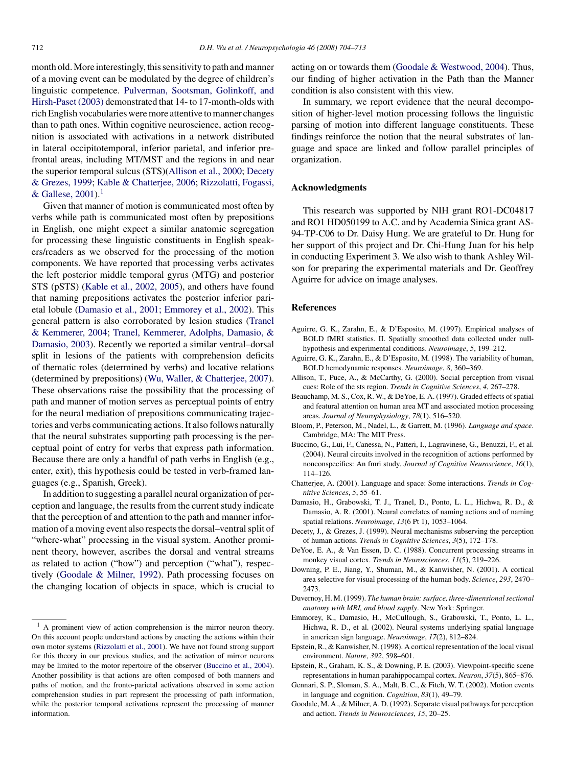<span id="page-8-0"></span>month old. More interestingly, this sensitivity to path and manner of a moving event can be modulated by the degree of children's linguistic competence. [Pulverman, Sootsman, Golinkoff, and](#page-9-0) [Hirsh-Paset \(2003\)](#page-9-0) demonstrated that 14- to 17-month-olds with rich English vocabularies were more attentive to manner changes than to path ones. Within cognitive neuroscience, action recognition is associated with activations in a network distributed in lateral occipitotemporal, inferior parietal, and inferior prefrontal areas, including MT/MST and the regions in and near the superior temporal sulcus (STS)(Allison et al., 2000; Decety & Grezes, 1999; [Kable & Chatterjee, 2006;](#page-9-0) [Rizzolatti, Fogassi,](#page-9-0) [& Gallese, 2001\).](#page-9-0)<sup>1</sup>

Given that manner of motion is communicated most often by verbs while path is communicated most often by prepositions in English, one might expect a similar anatomic segregation for processing these linguistic constituents in English speakers/readers as we observed for the processing of the motion components. We have reported that processing verbs activates the left posterior middle temporal gyrus (MTG) and posterior STS (pSTS) [\(Kable et al., 2002, 2005\),](#page-9-0) and others have found that naming prepositions activates the posterior inferior parietal lobule (Damasio et al., 2001; Emmorey et al., 2002). This general pattern is also corroborated by lesion studies [\(Tranel](#page-9-0) [& Kemmerer, 2004;](#page-9-0) [Tranel, Kemmerer, Adolphs, Damasio, &](#page-9-0) [Damasio, 2003\).](#page-9-0) Recently we reported a similar ventral–dorsal split in lesions of the patients with comprehension deficits of thematic roles (determined by verbs) and locative relations (determined by prepositions) [\(Wu, Waller, & Chatterjee, 2007\).](#page-9-0) These observations raise the possibility that the processing of path and manner of motion serves as perceptual points of entry for the neural mediation of prepositions communicating trajectories and verbs communicating actions. It also follows naturally that the neural substrates supporting path processing is the perceptual point of entry for verbs that express path information. Because there are only a handful of path verbs in English (e.g., enter, exit), this hypothesis could be tested in verb-framed languages (e.g., Spanish, Greek).

In addition to suggesting a parallel neural organization of perception and language, the results from the current study indicate that the perception of and attention to the path and manner information of a moving event also respects the dorsal–ventral split of "where-what" processing in the visual system. Another prominent theory, however, ascribes the dorsal and ventral streams as related to action ("how") and perception ("what"), respectively (Goodale & Milner, 1992). Path processing focuses on the changing location of objects in space, which is crucial to acting on or towards them [\(Goodale & Westwood, 2004\).](#page-9-0) Thus, our finding of higher activation in the Path than the Manner condition is also consistent with this view.

In summary, we report evidence that the neural decomposition of higher-level motion processing follows the linguistic parsing of motion into different language constituents. These findings reinforce the notion that the neural substrates of language and space are linked and follow parallel principles of organization.

# **Acknowledgments**

This research was supported by NIH grant RO1-DC04817 and RO1 HD050199 to A.C. and by Academia Sinica grant AS-94-TP-C06 to Dr. Daisy Hung. We are grateful to Dr. Hung for her support of this project and Dr. Chi-Hung Juan for his help in conducting Experiment 3. We also wish to thank Ashley Wilson for preparing the experimental materials and Dr. Geoffrey Aguirre for advice on image analyses.

# **References**

- Aguirre, G. K., Zarahn, E., & D'Esposito, M. (1997). Empirical analyses of BOLD fMRI statistics. II. Spatially smoothed data collected under nullhypothesis and experimental conditions. *Neuroimage*, *5*, 199–212.
- Aguirre, G. K., Zarahn, E., & D'Esposito, M. (1998). The variability of human, BOLD hemodynamic responses. *Neuroimage*, *8*, 360–369.
- Allison, T., Puce, A., & McCarthy, G. (2000). Social perception from visual cues: Role of the sts region. *Trends in Cognitive Sciences*, *4*, 267–278.
- Beauchamp, M. S., Cox, R. W., & DeYoe, E. A. (1997). Graded effects of spatial and featural attention on human area MT and associated motion processing areas. *Journal of Neurophysiology*, *78*(1), 516–520.
- Bloom, P., Peterson, M., Nadel, L., & Garrett, M. (1996). *Language and space*. Cambridge, MA: The MIT Press.
- Buccino, G., Lui, F., Canessa, N., Patteri, I., Lagravinese, G., Benuzzi, F., et al. (2004). Neural circuits involved in the recognition of actions performed by nonconspecifics: An fmri study. *Journal of Cognitive Neuroscience*, *16*(1), 114–126.
- Chatterjee, A. (2001). Language and space: Some interactions. *Trends in Cognitive Sciences*, *5*, 55–61.
- Damasio, H., Grabowski, T. J., Tranel, D., Ponto, L. L., Hichwa, R. D., & Damasio, A. R. (2001). Neural correlates of naming actions and of naming spatial relations. *Neuroimage*, *13*(6 Pt 1), 1053–1064.
- Decety, J., & Grezes, J. (1999). Neural mechanisms subserving the perception of human actions. *Trends in Cognitive Sciences*, *3*(5), 172–178.
- DeYoe, E. A., & Van Essen, D. C. (1988). Concurrent processing streams in monkey visual cortex. *Trends in Neurosciences*, *11*(5), 219–226.
- Downing, P. E., Jiang, Y., Shuman, M., & Kanwisher, N. (2001). A cortical area selective for visual processing of the human body. *Science*, *293*, 2470– 2473.
- Duvernoy, H. M. (1999). *The human brain: surface, three-dimensional sectional anatomy with MRI, and blood supply*. New York: Springer.
- Emmorey, K., Damasio, H., McCullough, S., Grabowski, T., Ponto, L. L., Hichwa, R. D., et al. (2002). Neural systems underlying spatial language in american sign language. *Neuroimage*, *17*(2), 812–824.
- Epstein, R., & Kanwisher, N. (1998). A cortical representation of the local visual environment. *Nature*, *392*, 598–601.
- Epstein, R., Graham, K. S., & Downing, P. E. (2003). Viewpoint-specific scene representations in human parahippocampal cortex. *Neuron*, *37*(5), 865–876.
- Gennari, S. P., Sloman, S. A., Malt, B. C., & Fitch, W. T. (2002). Motion events in language and cognition. *Cognition*, *83*(1), 49–79.
- Goodale, M. A., & Milner, A. D. (1992). Separate visual pathways for perception and action. *Trends in Neurosciences*, *15*, 20–25.

<sup>&</sup>lt;sup>1</sup> A prominent view of action comprehension is the mirror neuron theory. On this account people understand actions by enacting the actions within their own motor systems ([Rizzolatti et al., 2001\).](#page-9-0) We have not found strong support for this theory in our previous studies, and the activation of mirror neurons may be limited to the motor repertoire of the observer (Buccino et al., 2004). Another possibility is that actions are often composed of both manners and paths of motion, and the fronto-parietal activations observed in some action comprehension studies in part represent the processing of path information, while the posterior temporal activations represent the processing of manner information.